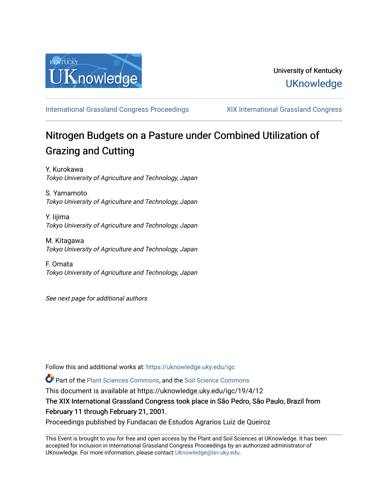

[International Grassland Congress Proceedings](https://uknowledge.uky.edu/igc) [XIX International Grassland Congress](https://uknowledge.uky.edu/igc/19) 

# Nitrogen Budgets on a Pasture under Combined Utilization of Grazing and Cutting

Y. Kurokawa Tokyo University of Agriculture and Technology, Japan

S. Yamamoto Tokyo University of Agriculture and Technology, Japan

Y. Iijima Tokyo University of Agriculture and Technology, Japan

M. Kitagawa Tokyo University of Agriculture and Technology, Japan

F. Omata Tokyo University of Agriculture and Technology, Japan

See next page for additional authors

Follow this and additional works at: [https://uknowledge.uky.edu/igc](https://uknowledge.uky.edu/igc?utm_source=uknowledge.uky.edu%2Figc%2F19%2F4%2F12&utm_medium=PDF&utm_campaign=PDFCoverPages) 

Part of the [Plant Sciences Commons](http://network.bepress.com/hgg/discipline/102?utm_source=uknowledge.uky.edu%2Figc%2F19%2F4%2F12&utm_medium=PDF&utm_campaign=PDFCoverPages), and the [Soil Science Commons](http://network.bepress.com/hgg/discipline/163?utm_source=uknowledge.uky.edu%2Figc%2F19%2F4%2F12&utm_medium=PDF&utm_campaign=PDFCoverPages) 

This document is available at https://uknowledge.uky.edu/igc/19/4/12

The XIX International Grassland Congress took place in São Pedro, São Paulo, Brazil from February 11 through February 21, 2001.

Proceedings published by Fundacao de Estudos Agrarios Luiz de Queiroz

This Event is brought to you for free and open access by the Plant and Soil Sciences at UKnowledge. It has been accepted for inclusion in International Grassland Congress Proceedings by an authorized administrator of UKnowledge. For more information, please contact [UKnowledge@lsv.uky.edu](mailto:UKnowledge@lsv.uky.edu).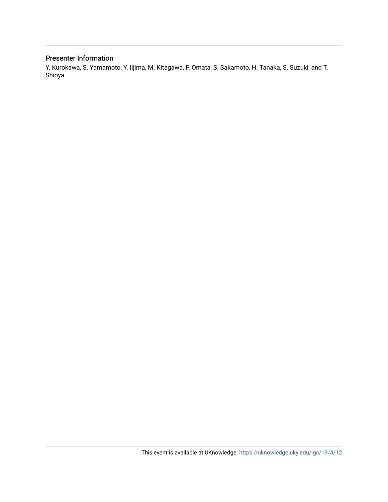### Presenter Information

Y. Kurokawa, S. Yamamoto, Y. Iijima, M. Kitagawa, F. Omata, S. Sakamoto, H. Tanaka, S. Suzuki, and T. Shioya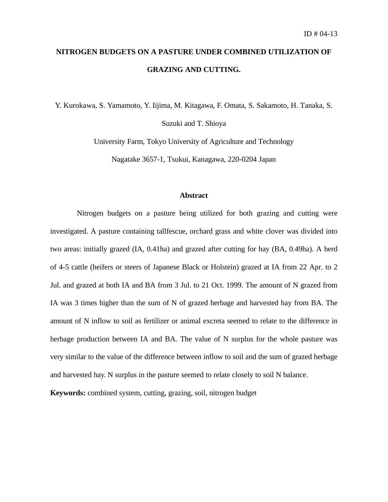## **NITROGEN BUDGETS ON A PASTURE UNDER COMBINED UTILIZATION OF GRAZING AND CUTTING.**

Y. Kurokawa, S. Yamamoto, Y. Iijima, M. Kitagawa, F. Omata, S. Sakamoto, H. Tanaka, S.

Suzuki and T. Shioya

University Farm, Tokyo University of Agriculture and Technology

Nagatake 3657-1, Tsukui, Kanagawa, 220-0204 Japan

#### **Abstract**

Nitrogen budgets on a pasture being utilized for both grazing and cutting were investigated. A pasture containing tallfescue, orchard grass and white clover was divided into two areas: initially grazed (IA, 0.41ha) and grazed after cutting for hay (BA, 0.49ha). A herd of 4-5 cattle (heifers or steers of Japanese Black or Holstein) grazed at IA from 22 Apr. to 2 Jul. and grazed at both IA and BA from 3 Jul. to 21 Oct. 1999. The amount of N grazed from IA was 3 times higher than the sum of N of grazed herbage and harvested hay from BA. The amount of N inflow to soil as fertilizer or animal excreta seemed to relate to the difference in herbage production between IA and BA. The value of N surplus for the whole pasture was very similar to the value of the difference between inflow to soil and the sum of grazed herbage and harvested hay. N surplus in the pasture seemed to relate closely to soil N balance.

**Keywords:** combined system, cutting, grazing, soil, nitrogen budget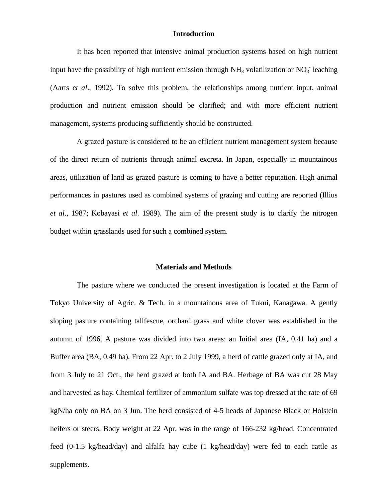#### **Introduction**

It has been reported that intensive animal production systems based on high nutrient input have the possibility of high nutrient emission through  $NH<sub>3</sub>$  volatilization or  $NO<sub>3</sub>$  leaching (Aarts *et al*., 1992). To solve this problem, the relationships among nutrient input, animal production and nutrient emission should be clarified; and with more efficient nutrient management, systems producing sufficiently should be constructed.

A grazed pasture is considered to be an efficient nutrient management system because of the direct return of nutrients through animal excreta. In Japan, especially in mountainous areas, utilization of land as grazed pasture is coming to have a better reputation. High animal performances in pastures used as combined systems of grazing and cutting are reported (Illius *et al*., 1987; Kobayasi *et al*. 1989). The aim of the present study is to clarify the nitrogen budget within grasslands used for such a combined system.

#### **Materials and Methods**

The pasture where we conducted the present investigation is located at the Farm of Tokyo University of Agric. & Tech. in a mountainous area of Tukui, Kanagawa. A gently sloping pasture containing tallfescue, orchard grass and white clover was established in the autumn of 1996. A pasture was divided into two areas: an Initial area (IA, 0.41 ha) and a Buffer area (BA, 0.49 ha). From 22 Apr. to 2 July 1999, a herd of cattle grazed only at IA, and from 3 July to 21 Oct., the herd grazed at both IA and BA. Herbage of BA was cut 28 May and harvested as hay. Chemical fertilizer of ammonium sulfate was top dressed at the rate of 69 kgN/ha only on BA on 3 Jun. The herd consisted of 4-5 heads of Japanese Black or Holstein heifers or steers. Body weight at 22 Apr. was in the range of 166-232 kg/head. Concentrated feed (0-1.5 kg/head/day) and alfalfa hay cube (1 kg/head/day) were fed to each cattle as supplements.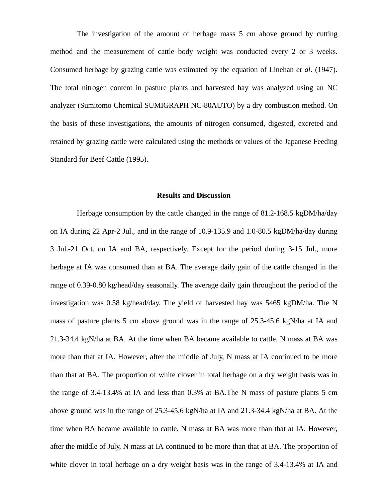The investigation of the amount of herbage mass 5 cm above ground by cutting method and the measurement of cattle body weight was conducted every 2 or 3 weeks. Consumed herbage by grazing cattle was estimated by the equation of Linehan *et al*. (1947). The total nitrogen content in pasture plants and harvested hay was analyzed using an NC analyzer (Sumitomo Chemical SUMIGRAPH NC-80AUTO) by a dry combustion method. On the basis of these investigations, the amounts of nitrogen consumed, digested, excreted and retained by grazing cattle were calculated using the methods or values of the Japanese Feeding Standard for Beef Cattle (1995).

#### **Results and Discussion**

Herbage consumption by the cattle changed in the range of 81.2-168.5 kgDM/ha/day on IA during 22 Apr-2 Jul., and in the range of 10.9-135.9 and 1.0-80.5 kgDM/ha/day during 3 Jul.-21 Oct. on IA and BA, respectively. Except for the period during 3-15 Jul., more herbage at IA was consumed than at BA. The average daily gain of the cattle changed in the range of 0.39-0.80 kg/head/day seasonally. The average daily gain throughout the period of the investigation was 0.58 kg/head/day. The yield of harvested hay was 5465 kgDM/ha. The N mass of pasture plants 5 cm above ground was in the range of 25.3-45.6 kgN/ha at IA and 21.3-34.4 kgN/ha at BA. At the time when BA became available to cattle, N mass at BA was more than that at IA. However, after the middle of July, N mass at IA continued to be more than that at BA. The proportion of white clover in total herbage on a dry weight basis was in the range of 3.4-13.4% at IA and less than 0.3% at BA.The N mass of pasture plants 5 cm above ground was in the range of 25.3-45.6 kgN/ha at IA and 21.3-34.4 kgN/ha at BA. At the time when BA became available to cattle, N mass at BA was more than that at IA. However, after the middle of July, N mass at IA continued to be more than that at BA. The proportion of white clover in total herbage on a dry weight basis was in the range of 3.4-13.4% at IA and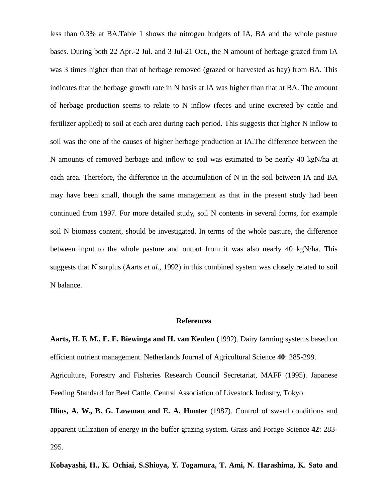less than 0.3% at BA.Table 1 shows the nitrogen budgets of IA, BA and the whole pasture bases. During both 22 Apr.-2 Jul. and 3 Jul-21 Oct., the N amount of herbage grazed from IA was 3 times higher than that of herbage removed (grazed or harvested as hay) from BA. This indicates that the herbage growth rate in N basis at IA was higher than that at BA. The amount of herbage production seems to relate to N inflow (feces and urine excreted by cattle and fertilizer applied) to soil at each area during each period. This suggests that higher N inflow to soil was the one of the causes of higher herbage production at IA.The difference between the N amounts of removed herbage and inflow to soil was estimated to be nearly 40 kgN/ha at each area. Therefore, the difference in the accumulation of N in the soil between IA and BA may have been small, though the same management as that in the present study had been continued from 1997. For more detailed study, soil N contents in several forms, for example soil N biomass content, should be investigated. In terms of the whole pasture, the difference between input to the whole pasture and output from it was also nearly 40 kgN/ha. This suggests that N surplus (Aarts *et al*., 1992) in this combined system was closely related to soil N balance.

#### **References**

**Aarts, H. F. M., E. E. Biewinga and H. van Keulen** (1992). Dairy farming systems based on efficient nutrient management. Netherlands Journal of Agricultural Science **40**: 285-299.

Agriculture, Forestry and Fisheries Research Council Secretariat, MAFF (1995). Japanese Feeding Standard for Beef Cattle, Central Association of Livestock Industry, Tokyo

**Illius, A. W., B. G. Lowman and E. A. Hunter** (1987). Control of sward conditions and apparent utilization of energy in the buffer grazing system. Grass and Forage Science **42**: 283- 295.

**Kobayashi, H., K. Ochiai, S.Shioya, Y. Togamura, T. Ami, N. Harashima, K. Sato and**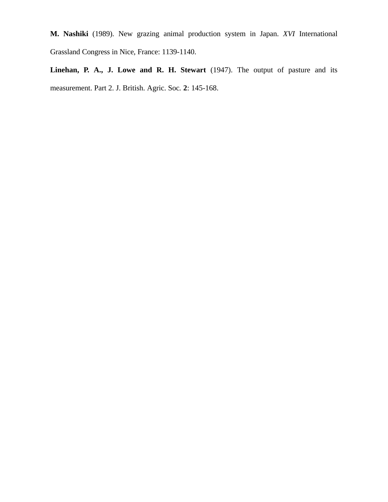**M. Nashiki** (1989). New grazing animal production system in Japan. *XVI* International Grassland Congress in Nice, France: 1139-1140.

**Linehan, P. A., J. Lowe and R. H. Stewart** (1947). The output of pasture and its measurement. Part 2. J. British. Agric. Soc*.* **2**: 145-168.